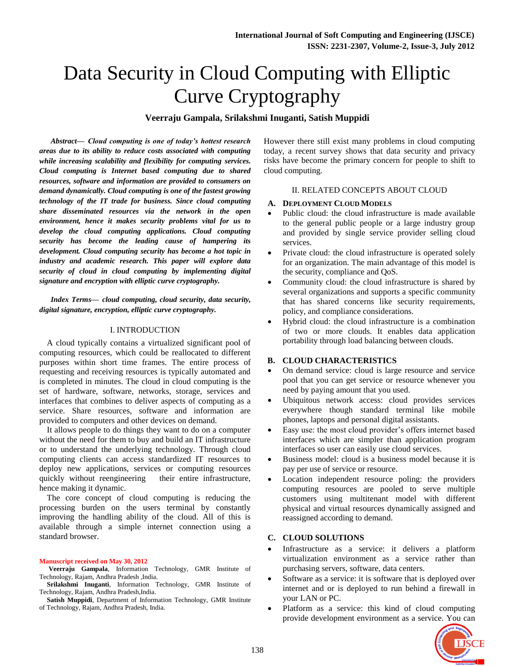# Data Security in Cloud Computing with Elliptic Curve Cryptography

**Veerraju Gampala, Srilakshmi Inuganti, Satish Muppidi**

*Abstract— Cloud computing is one of today's hottest research areas due to its ability to reduce costs associated with computing while increasing scalability and flexibility for computing services. Cloud computing is Internet based computing due to shared resources, software and information are provided to consumers on demand dynamically. Cloud computing is one of the fastest growing technology of the IT trade for business. Since cloud computing share disseminated resources via the network in the open environment, hence it makes security problems vital for us to develop the cloud computing applications. Cloud computing security has become the leading cause of hampering its development. Cloud computing security has become a hot topic in industry and academic research. This paper will explore data security of cloud in cloud computing by implementing digital signature and encryption with elliptic curve cryptography.*

*Index Terms— cloud computing, cloud security, data security, digital signature, encryption, elliptic curve cryptography.*

## I. INTRODUCTION

A cloud typically contains a virtualized significant pool of computing resources, which could be reallocated to different purposes within short time frames. The entire process of requesting and receiving resources is typically automated and is completed in minutes. The cloud in cloud computing is the set of hardware, software, networks, storage, services and interfaces that combines to deliver aspects of computing as a service. Share resources, software and information are provided to computers and other devices on demand.

It allows people to do things they want to do on a computer without the need for them to buy and build an IT infrastructure or to understand the underlying technology. Through cloud computing clients can access standardized IT resources to deploy new applications, services or computing resources quickly without reengineering their entire infrastructure, hence making it dynamic.

The core concept of cloud computing is reducing the processing burden on the users terminal by constantly improving the handling ability of the cloud. All of this is available through a simple internet connection using a standard browser.

#### **Manuscript received on May 30, 2012**

- **Veerraju Gampala**, Information Technology, GMR Institute of Technology, Rajam, Andhra Pradesh ,India.
- **Srilakshmi Inuganti**, Information Technology, GMR Institute of Technology, Rajam, Andhra Pradesh,India.
- **Satish Muppidi**, Department of Information Technology, GMR Institute of Technology, Rajam, Andhra Pradesh, India.

However there still exist many problems in cloud computing today, a recent survey shows that data security and privacy risks have become the primary concern for people to shift to cloud computing.

#### II. RELATED CONCEPTS ABOUT CLOUD

#### **A. DEPLOYMENT CLOUD MODELS**

- Public cloud: the cloud infrastructure is made available to the general public people or a large industry group and provided by single service provider selling cloud services.
- Private cloud: the cloud infrastructure is operated solely for an organization. The main advantage of this model is the security, compliance and QoS.
- Community cloud: the cloud infrastructure is shared by several organizations and supports a specific community that has shared concerns like security requirements, policy, and compliance considerations.
- Hybrid cloud: the cloud infrastructure is a combination of two or more clouds. It enables data application portability through load balancing between clouds.

## **B. CLOUD CHARACTERISTICS**

- On demand service: cloud is large resource and service pool that you can get service or resource whenever you need by paying amount that you used.
- Ubiquitous network access: cloud provides services everywhere though standard terminal like mobile phones, laptops and personal digital assistants.
- Easy use: the most cloud provider's offers internet based interfaces which are simpler than application program interfaces so user can easily use cloud services.
- Business model: cloud is a business model because it is pay per use of service or resource.
- Location independent resource poling: the providers computing resources are pooled to serve multiple customers using multitenant model with different physical and virtual resources dynamically assigned and reassigned according to demand.

#### **C. CLOUD SOLUTIONS**

- Infrastructure as a service: it delivers a platform virtualization environment as a service rather than purchasing servers, software, data centers.
- Software as a service: it is software that is deployed over internet and or is deployed to run behind a firewall in your LAN or PC.
- Platform as a service: this kind of cloud computing provide development environment as a service. You can

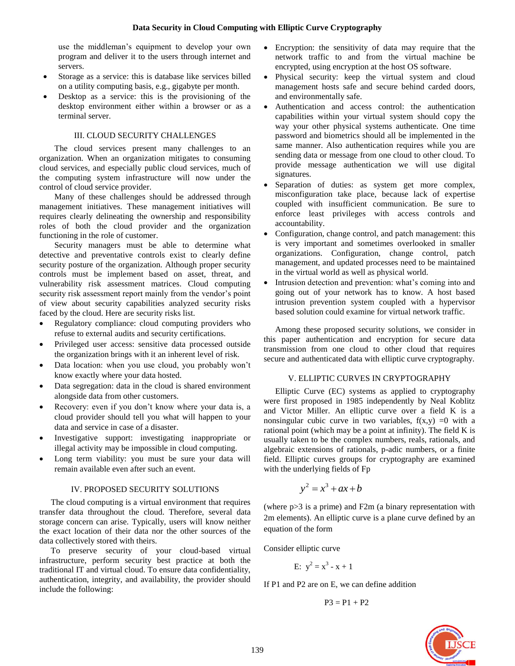use the middleman's equipment to develop your own program and deliver it to the users through internet and servers.

- Storage as a service: this is database like services billed on a utility computing basis, e.g., gigabyte per month.
- Desktop as a service: this is the provisioning of the desktop environment either within a browser or as a terminal server.

## III. CLOUD SECURITY CHALLENGES

The cloud services present many challenges to an organization. When an organization mitigates to consuming cloud services, and especially public cloud services, much of the computing system infrastructure will now under the control of cloud service provider.

Many of these challenges should be addressed through management initiatives. These management initiatives will requires clearly delineating the ownership and responsibility roles of both the cloud provider and the organization functioning in the role of customer.

Security managers must be able to determine what detective and preventative controls exist to clearly define security posture of the organization. Although proper security controls must be implement based on asset, threat, and vulnerability risk assessment matrices. Cloud computing security risk assessment report mainly from the vendor's point of view about security capabilities analyzed security risks faced by the cloud. Here are security risks list.

- Regulatory compliance: cloud computing providers who refuse to external audits and security certifications.
- Privileged user access: sensitive data processed outside the organization brings with it an inherent level of risk.
- Data location: when you use cloud, you probably won't know exactly where your data hosted.
- Data segregation: data in the cloud is shared environment alongside data from other customers.
- Recovery: even if you don't know where your data is, a cloud provider should tell you what will happen to your data and service in case of a disaster.
- Investigative support: investigating inappropriate or illegal activity may be impossible in cloud computing.
- Long term viability: you must be sure your data will remain available even after such an event.

## IV. PROPOSED SECURITY SOLUTIONS

The cloud computing is a virtual environment that requires transfer data throughout the cloud. Therefore, several data storage concern can arise. Typically, users will know neither the exact location of their data nor the other sources of the data collectively stored with theirs.

To preserve security of your cloud-based virtual infrastructure, perform security best practice at both the traditional IT and virtual cloud. To ensure data confidentiality, authentication, integrity, and availability, the provider should include the following:

- Encryption: the sensitivity of data may require that the network traffic to and from the virtual machine be encrypted, using encryption at the host OS software.
- Physical security: keep the virtual system and cloud management hosts safe and secure behind carded doors, and environmentally safe.
- Authentication and access control: the authentication capabilities within your virtual system should copy the way your other physical systems authenticate. One time password and biometrics should all be implemented in the same manner. Also authentication requires while you are sending data or message from one cloud to other cloud. To provide message authentication we will use digital signatures.
- Separation of duties: as system get more complex, misconfiguration take place, because lack of expertise coupled with insufficient communication. Be sure to enforce least privileges with access controls and accountability.
- Configuration, change control, and patch management: this is very important and sometimes overlooked in smaller organizations. Configuration, change control, patch management, and updated processes need to be maintained in the virtual world as well as physical world.
- Intrusion detection and prevention: what's coming into and going out of your network has to know. A host based intrusion prevention system coupled with a hypervisor based solution could examine for virtual network traffic.

Among these proposed security solutions, we consider in this paper authentication and encryption for secure data transmission from one cloud to other cloud that requires secure and authenticated data with elliptic curve cryptography.

## V. ELLIPTIC CURVES IN CRYPTOGRAPHY

Elliptic Curve (EC) systems as applied to cryptography were first proposed in 1985 independently by Neal Koblitz and Victor Miller. An elliptic curve over a field K is a nonsingular cubic curve in two variables,  $f(x,y) = 0$  with a rational point (which may be a point at infinity). The field K is usually taken to be the complex numbers, reals, rationals, and algebraic extensions of rationals, p-adic numbers, or a finite field. Elliptic curves groups for cryptography are examined with the underlying fields of Fp

$$
y^2 = x^3 + ax + b
$$

(where p>3 is a prime) and F2m (a binary representation with 2m elements). An elliptic curve is a plane curve defined by an equation of the form

Consider elliptic curve

E: 
$$
y^2 = x^3 - x + 1
$$

If P1 and P2 are on E, we can define addition

$$
P3 = P1 + P2
$$

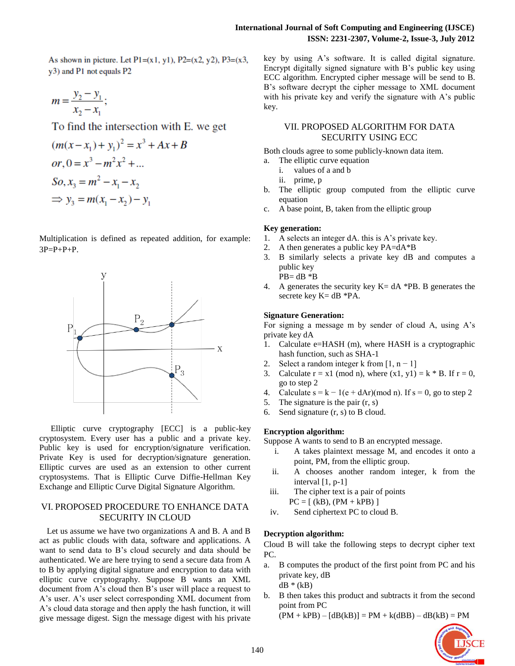As shown in picture. Let  $P1=(x1, y1)$ ,  $P2=(x2, y2)$ ,  $P3=(x3,$ y3) and P1 not equals P2

$$
m = \frac{y_2 - y_1}{x_2 - x_1};
$$

To find the intersection with E, we get

$$
(m(x - x_1) + y_1)^2 = x^3 + Ax + B
$$
  
or, 0 = x<sup>3</sup> - m<sup>2</sup>x<sup>2</sup> + ...  

$$
So, x_3 = m^2 - x_1 - x_2
$$
  

$$
\Rightarrow y_3 = m(x_1 - x_2) - y_1
$$

Multiplication is defined as repeated addition, for example:  $3P = P + P + P$ .



Elliptic curve cryptography [ECC] is a public-key cryptosystem. Every user has a public and a private key. Public key is used for encryption/signature verification. Private Key is used for decryption/signature generation. Elliptic curves are used as an extension to other current cryptosystems. That is Elliptic Curve Diffie-Hellman Key Exchange and Elliptic Curve Digital Signature Algorithm.

## VI. PROPOSED PROCEDURE TO ENHANCE DATA SECURITY IN CLOUD

Let us assume we have two organizations A and B. A and B act as public clouds with data, software and applications. A want to send data to B's cloud securely and data should be authenticated. We are here trying to send a secure data from A to B by applying digital signature and encryption to data with elliptic curve cryptography. Suppose B wants an XML document from A's cloud then B's user will place a request to A's user. A's user select corresponding XML document from A's cloud data storage and then apply the hash function, it will give message digest. Sign the message digest with his private

key by using A's software. It is called digital signature. Encrypt digitally signed signature with B's public key using ECC algorithm. Encrypted cipher message will be send to B. B's software decrypt the cipher message to XML document with his private key and verify the signature with A's public key.

## VII. PROPOSED ALGORITHM FOR DATA SECURITY USING ECC

Both clouds agree to some publicly-known data item.

- a. The elliptic curve equation
	- i. values of a and b
	- ii. prime, p
- b. The elliptic group computed from the elliptic curve equation
- c. A base point, B, taken from the elliptic group

## **Key generation:**

- 1. A selects an integer dA. this is A's private key.
- 2. A then generates a public key PA=dA\*B
- 3. B similarly selects a private key dB and computes a public key  $PB = dB *B$
- 4. A generates the security key  $K = dA$  \*PB. B generates the secrete key  $K= dB *PA$ .

## **Signature Generation:**

For signing a message m by sender of cloud A, using A's private key dA

- 1. Calculate e=HASH (m), where HASH is a cryptographic hash function, such as SHA-1
- 2. Select a random integer k from  $[1, n-1]$
- 3. Calculate  $r = x1 \pmod{n}$ , where  $(x1, y1) = k * B$ . If  $r = 0$ , go to step 2
- 4. Calculate  $s = k 1(e + dAr)(mod n)$ . If  $s = 0$ , go to step 2
- 5. The signature is the pair (r, s)
- 6. Send signature (r, s) to B cloud.

## **Encryption algorithm:**

Suppose A wants to send to B an encrypted message.

- i. A takes plaintext message M, and encodes it onto a point, PM, from the elliptic group.
- ii. A chooses another random integer, k from the interval  $[1, p-1]$
- iii. The cipher text is a pair of points  $PC = [ (kB), (PM + kPB) ]$
- iv. Send ciphertext PC to cloud B.

## **Decryption algorithm:**

Cloud B will take the following steps to decrypt cipher text PC.

- a. B computes the product of the first point from PC and his private key, dB  $dB * (kB)$
- b. B then takes this product and subtracts it from the second point from PC

 $(PM + kPB) - [dB(kB)] = PM + k(dBB) - dB(kB) = PM$